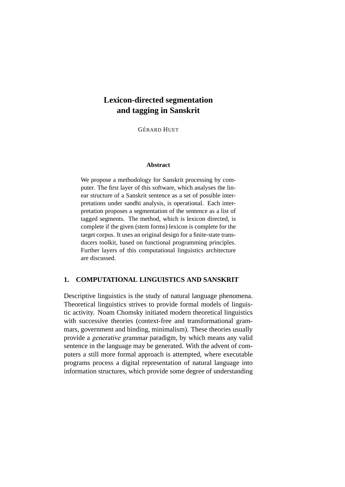# **Lexicon-directed segmentation and tagging in Sanskrit**

**GÉRARD HUET** 

#### **Abstract**

We propose a methodology for Sanskrit processing by computer. The first layer of this software, which analyses the linear structure of a Sanskrit sentence as a set of possible interpretations under sandhi analysis, is operational. Each interpretation proposes a segmentation of the sentence as a list of tagged segments. The method, which is lexicon directed, is complete if the given (stem forms) lexicon is complete for the target corpus. It uses an original design for a finite-state transducers toolkit, based on functional programming principles. Further layers of this computational linguistics architecture are discussed.

# **1. COMPUTATIONAL LINGUISTICS AND SANSKRIT**

Descriptive linguistics is the study of natural language phenomena. Theoretical linguistics strives to provide formal models of linguistic activity. Noam Chomsky initiated modern theoretical linguistics with successive theories (context-free and transformational grammars, government and binding, minimalism). These theories usually provide a generative grammar paradigm, by which means any valid sentence in the language may be generated. With the advent of computers a still more formal approach is attempted, where executable programs process a digital representation of natural language into information structures, which provide some degree of understanding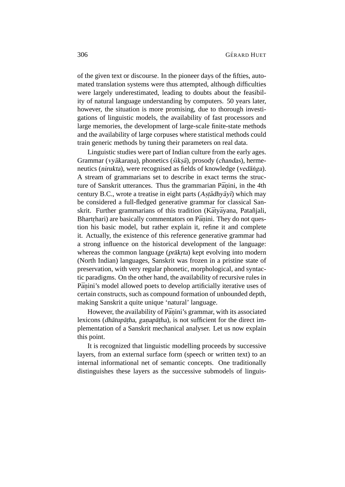of the given text or discourse. In the pioneer days of the fifties, automated translation systems were thus attempted, although difficulties were largely underestimated, leading to doubts about the feasibility of natural language understanding by computers. 50 years later, however, the situation is more promising, due to thorough investigations of linguistic models, the availability of fast processors and large memories, the development of large-scale finite-state methods and the availability of large corpuses where statistical methods could train generic methods by tuning their parameters on real data.

Linguistic studies were part of Indian culture from the early ages. Grammar (vyākaraṇa), phonetics (śikṣā), prosody (chandas), hermeneutics (nirukta), were recognised as fields of knowledge (vedanga). A stream of grammarians set to describe in exact terms the structure of Sanskrit utterances. Thus the grammarian Pāṇini, in the 4th century B.C., wrote a treatise in eight parts (Astadhyayi) which may be considered a full-fledged generative grammar for classical Sanskrit. Further grammarians of this tradition (Kātyāyana, Patañjali, Bhartrhari) are basically commentators on Pāṇini. They do not question his basic model, but rather explain it, refine it and complete it. Actually, the existence of this reference generative grammar had a strong influence on the historical development of the language: whereas the common language (prākrta) kept evolving into modern (North Indian) languages, Sanskrit was frozen in a pristine state of preservation, with very regular phonetic, morphological, and syntactic paradigms. On the other hand, the availability of recursive rules in Pāṇini's model allowed poets to develop artificially iterative uses of certain constructs, such as compound formation of unbounded depth, making Sanskrit a quite unique 'natural' language.

However, the availability of Pāṇini's grammar, with its associated lexicons (dhātup ātha, gana pātha), is not sufficient for the direct implementation of a Sanskrit mechanical analyser. Let us now explain this point.

It is recognized that linguistic modelling proceeds by successive layers, from an external surface form (speech or written text) to an internal informational net of semantic concepts. One traditionally distinguishes these layers as the successive submodels of linguis-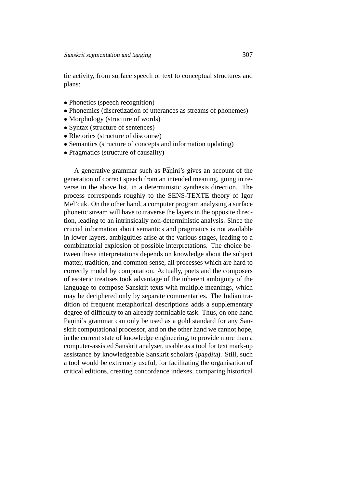tic activity, from surface speech or text to conceptual structures and plans:

- Phonetics (speech recognition)
- Phonemics (discretization of utterances as streams of phonemes)
- Morphology (structure of words)
- Syntax (structure of sentences)
- Rhetorics (structure of discourse)
- Semantics (structure of concepts and information updating)
- Pragmatics (structure of causality)

A generative grammar such as Pāṇini's gives an account of the generation of correct speech from an intended meaning, going in reverse in the above list, in a deterministic synthesis direction. The process corresponds roughly to the SENS-TEXTE theory of Igor Mel'cuk. On the other hand, a computer program analysing a surface phonetic stream will have to traverse the layers in the opposite direction, leading to an intrinsically non-deterministic analysis. Since the crucial information about semantics and pragmatics is not available in lower layers, ambiguities arise at the various stages, leading to a combinatorial explosion of possible interpretations. The choice between these interpretations depends on knowledge about the subject matter, tradition, and common sense, all processes which are hard to correctly model by computation. Actually, poets and the composers of esoteric treatises took advantage of the inherent ambiguity of the language to compose Sanskrit texts with multiple meanings, which may be deciphered only by separate commentaries. The Indian tradition of frequent metaphorical descriptions adds a supplementary degree of difficulty to an already formidable task. Thus, on one hand Pāṇini's grammar can only be used as a gold standard for any Sanskrit computational processor, and on the other hand we cannot hope, in the current state of knowledge engineering, to provide more than a computer-assisted Sanskrit analyser, usable as a tool for text mark-up assistance by knowledgeable Sanskrit scholars (pandita). Still, such a tool would be extremely useful, for facilitating the organisation of critical editions, creating concordance indexes, comparing historical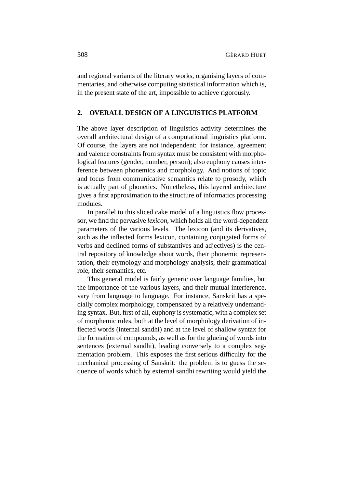and regional variants of the literary works, organising layers of commentaries, and otherwise computing statistical information which is, in the present state of the art, impossible to achieve rigorously.

# **2. OVERALL DESIGN OF A LINGUISTICS PLATFORM**

The above layer description of linguistics activity determines the overall architectural design of a computational linguistics platform. Of course, the layers are not independent: for instance, agreement and valence constraints from syntax must be consistent with morphological features (gender, number, person); also euphony causes interference between phonemics and morphology. And notions of topic and focus from communicative semantics relate to prosody, which is actually part of phonetics. Nonetheless, this layered architecture gives a first approximation to the structure of informatics processing modules.

In parallel to this sliced cake model of a linguistics flow processor, we find the pervasive *lexicon*, which holds all the word-dependent parameters of the various levels. The lexicon (and its derivatives, such as the inflected forms lexicon, containing conjugated forms of verbs and declined forms of substantives and adjectives) is the central repository of knowledge about words, their phonemic representation, their etymology and morphology analysis, their grammatical role, their semantics, etc.

This general model is fairly generic over language families, but the importance of the various layers, and their mutual interference, vary from language to language. For instance, Sanskrit has a specially complex morphology, compensated by a relatively undemanding syntax. But, first of all, euphony is systematic, with a complex set of morphemic rules, both at the level of morphology derivation of inflected words (internal sandhi) and at the level of shallow syntax for the formation of compounds, as well as for the glueing of words into sentences (external sandhi), leading conversely to a complex segmentation problem. This exposes the first serious difficulty for the mechanical processing of Sanskrit: the problem is to guess the sequence of words which by external sandhi rewriting would yield the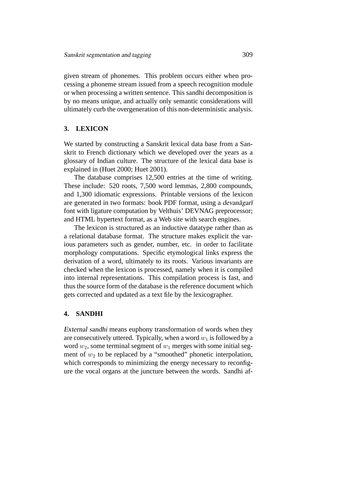given stream of phonemes. This problem occurs either when processing a phoneme stream issued from a speech recognition module or when processing a written sentence. This sandhi decomposition is by no means unique, and actually only semantic considerations will ultimately curb the overgeneration of this non-deterministic analysis.

## **3. LEXICON**

We started by constructing a Sanskrit lexical data base from a Sanskrit to French dictionary which we developed over the years as a glossary of Indian culture. The structure of the lexical data base is explained in (Huet 2000; Huet 2001).

The database comprises 12,500 entries at the time of writing. These include: 520 roots, 7,500 word lemmas, 2,800 compounds, and 1,300 idiomatic expressions. Printable versions of the lexicon are generated in two formats: book PDF format, using a devanagari font with ligature computation by Velthuis' DEVNAG preprocessor; and HTML hypertext format, as a Web site with search engines.

The lexicon is structured as an inductive datatype rather than as a relational database format. The structure makes explicit the various parameters such as gender, number, etc. in order to facilitate morphology computations. Specific etymological links express the derivation of a word, ultimately to its roots. Various invariants are checked when the lexicon is processed, namely when it is compiled into internal representations. This compilation process is fast, and thus the source form of the database is the reference document which gets corrected and updated as a text file by the lexicographer.

## **4. SANDHI**

External sandhi means euphony transformation of words when they are consecutively uttered. Typically, when a word  $w_1$  is followed by a word  $w_2$ , some terminal segment of  $w_1$  merges with some initial segment of  $w_2$  to be replaced by a "smoothed" phonetic interpolation, which corresponds to minimizing the energy necessary to reconfigure the vocal organs at the juncture between the words. Sandhi af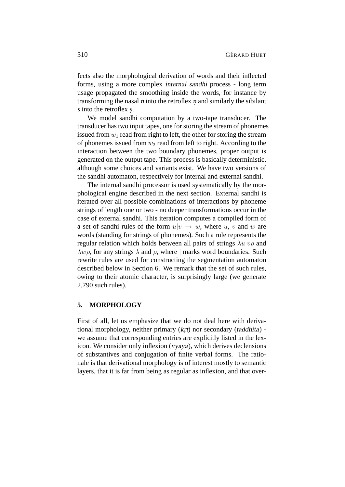fects also the morphological derivation of words and their inflected forms, using a more complex internal sandhi process - long term usage propagated the smoothing inside the words, for instance by transforming the nasal  $n$  into the retroflex  $n$  and similarly the sibilant s into the retroflex s.

We model sandhi computation by a two-tape transducer. The transducer has two input tapes, one for storing the stream of phonemes issued from  $w_1$  read from right to left, the other for storing the stream of phonemes issued from  $w_2$  read from left to right. According to the interaction between the two boundary phonemes, proper output is generated on the output tape. This process is basically deterministic, although some choices and variants exist. We have two versions of the sandhi automaton, respectively for internal and external sandhi.

The internal sandhi processor is used systematically by the morphological engine described in the next section. External sandhi is iterated over all possible combinations of interactions by phoneme strings of length one or two - no deeper transformations occur in the case of external sandhi. This iteration computes a compiled form of a set of sandhi rules of the form  $u|v \rightarrow w$ , where u, v and w are words (standing for strings of phonemes). Such a rule represents the regular relation which holds between all pairs of strings  $\lambda u | v \rho$  and  $\lambda w \rho$ , for any strings  $\lambda$  and  $\rho$ , where | marks word boundaries. Such rewrite rules are used for constructing the segmentation automaton described below in Section 6. We remark that the set of such rules, owing to their atomic character, is surprisingly large (we generate 2,790 such rules).

## **5. MORPHOLOGY**

First of all, let us emphasize that we do not deal here with derivational morphology, neither primary (krt) nor secondary (taddhita) we assume that corresponding entries are explicitly listed in the lexicon. We consider only inflexion (vyaya), which derives declensions of substantives and conjugation of finite verbal forms. The rationale is that derivational morphology is of interest mostly to semantic layers, that it is far from being as regular as inflexion, and that over-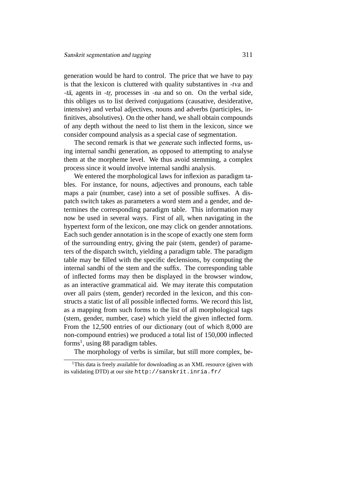generation would be hard to control. The price that we have to pay is that the lexicon is cluttered with quality substantives in -tva and -tā, agents in -tr, processes in -na and so on. On the verbal side, this obliges us to list derived conjugations (causative, desiderative, intensive) and verbal adjectives, nouns and adverbs (participles, infinitives, absolutives). On the other hand, we shall obtain compounds of any depth without the need to list them in the lexicon, since we consider compound analysis as a special case of segmentation.

The second remark is that we generate such inflected forms, using internal sandhi generation, as opposed to attempting to analyse them at the morpheme level. We thus avoid stemming, a complex process since it would involve internal sandhi analysis.

We entered the morphological laws for inflexion as paradigm tables. For instance, for nouns, adjectives and pronouns, each table maps a pair (number, case) into a set of possible suffixes. A dispatch switch takes as parameters a word stem and a gender, and determines the corresponding paradigm table. This information may now be used in several ways. First of all, when navigating in the hypertext form of the lexicon, one may click on gender annotations. Each such gender annotation is in the scope of exactly one stem form of the surrounding entry, giving the pair (stem, gender) of parameters of the dispatch switch, yielding a paradigm table. The paradigm table may be filled with the specific declensions, by computing the internal sandhi of the stem and the suffix. The corresponding table of inflected forms may then be displayed in the browser window, as an interactive grammatical aid. We may iterate this computation over all pairs (stem, gender) recorded in the lexicon, and this constructs a static list of all possible inflected forms. We record this list, as a mapping from such forms to the list of all morphological tags (stem, gender, number, case) which yield the given inflected form. From the 12,500 entries of our dictionary (out of which 8,000 are non-compound entries) we produced a total list of 150,000 inflected forms<sup>1</sup>, using 88 paradigm tables.

The morphology of verbs is similar, but still more complex, be-

<sup>&</sup>lt;sup>1</sup>This data is freely available for downloading as an XML resource (given with its validating DTD) at our site http://sanskrit.inria.fr/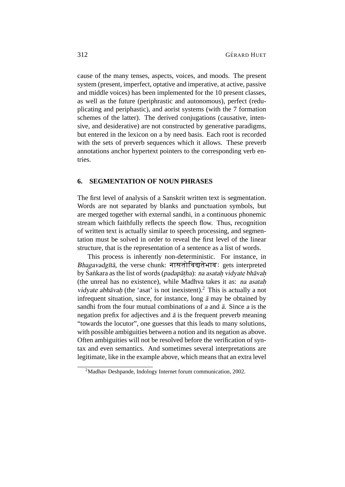cause of the many tenses, aspects, voices, and moods. The present system (present, imperfect, optative and imperative, at active, passive and middle voices) has been implemented for the 10 present classes, as well as the future (periphrastic and autonomous), perfect (reduplicating and periphastic), and aorist systems (with the 7 formation schemes of the latter). The derived conjugations (causative, intensive, and desiderative) are not constructed by generative paradigms, but entered in the lexicon on a by need basis. Each root is recorded with the sets of preverb sequences which it allows. These preverb annotations anchor hypertext pointers to the corresponding verb entries.

#### **6. SEGMENTATION OF NOUN PHRASES**

The first level of analysis of a Sanskrit written text is segmentation. Words are not separated by blanks and punctuation symbols, but are merged together with external sandhi, in a continuous phonemic stream which faithfully reflects the speech flow. Thus, recognition of written text is actually similar to speech processing, and segmentation must be solved in order to reveal the first level of the linear structure, that is the representation of a sentence as a list of words.

This process is inherently non-deterministic. For instance, in Bhagavadgītā, the verse chunk: नासतोविद्यतेभाव: gets interpreted by Śankara as the list of words (padapātha): na asatah vidyate bhavah (the unreal has no existence), while Madhva takes it as: na asatah. vidyate abhāvaḥ (the 'asat' is not inexistent).<sup>2</sup> This is actually a not infrequent situation, since, for instance, long  $\bar{a}$  may be obtained by sandhi from the four mutual combinations of a and  $\bar{a}$ . Since a is the negation prefix for adjectives and  $\bar{a}$  is the frequent preverb meaning "towards the locutor", one guesses that this leads to many solutions, with possible ambiguities between a notion and its negation as above. Often ambiguities will not be resolved before the verification of syntax and even semantics. And sometimes several interpretations are legitimate, like in the example above, which means that an extra level

<sup>2</sup>Madhav Deshpande, Indology Internet forum communication, 2002.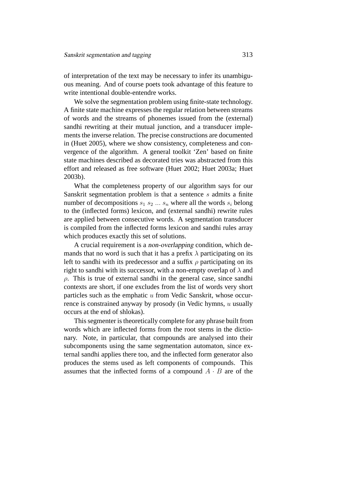of interpretation of the text may be necessary to infer its unambiguous meaning. And of course poets took advantage of this feature to write intentional double-entendre works.

We solve the segmentation problem using finite-state technology. A finite state machine expresses the regular relation between streams of words and the streams of phonemes issued from the (external) sandhi rewriting at their mutual junction, and a transducer implements the inverse relation. The precise constructions are documented in (Huet 2005), where we show consistency, completeness and convergence of the algorithm. A general toolkit 'Zen' based on finite state machines described as decorated tries was abstracted from this effort and released as free software (Huet 2002; Huet 2003a; Huet 2003b).

What the completeness property of our algorithm says for our Sanskrit segmentation problem is that a sentence  $s$  admits a finite number of decompositions  $s_1$   $s_2$  ...  $s_n$  where all the words  $s_i$  belong to the (inflected forms) lexicon, and (external sandhi) rewrite rules are applied between consecutive words. A segmentation transducer is compiled from the inflected forms lexicon and sandhi rules array which produces exactly this set of solutions.

A crucial requirement is a non-overlapping condition, which demands that no word is such that it has a prefix  $\lambda$  participating on its left to sandhi with its predecessor and a suffix  $\rho$  participating on its right to sandhi with its successor, with a non-empty overlap of  $\lambda$  and  $\rho$ . This is true of external sandhi in the general case, since sandhi contexts are short, if one excludes from the list of words very short particles such as the emphatic u from Vedic Sanskrit, whose occurrence is constrained anyway by prosody (in Vedic hymns, u usually occurs at the end of shlokas).

This segmenter is theoretically complete for any phrase built from words which are inflected forms from the root stems in the dictionary. Note, in particular, that compounds are analysed into their subcomponents using the same segmentation automaton, since external sandhi applies there too, and the inflected form generator also produces the stems used as left components of compounds. This assumes that the inflected forms of a compound  $A \cdot B$  are of the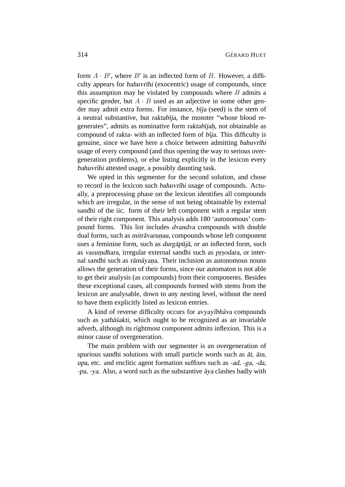form  $A \cdot B'$ , where  $B'$  is an inflected form of B. However, a difficulty appears for bahuvrīhi (exocentric) usage of compounds, since this assumption may be violated by compounds where  $B$  admits a specific gender, but  $A \cdot B$  used as an adjective in some other gender may admit extra forms. For instance,  $b\bar{i}ja$  (seed) is the stem of a neutral substantive, but raktabīja, the monster "whose blood regenerates", admits as nominative form raktabījah, not obtainable as compound of rakta- with an inflected form of bīja. This difficulty is genuine, since we have here a choice between admitting bahuvrīhi usage of every compound (and thus opening the way to serious overgeneration problems), or else listing explicitly in the lexicon every bahuvrīhi attested usage, a possibly daunting task.

We opted in this segmenter for the second solution, and chose to record in the lexicon such bahuvrīhi usage of compounds. Actually, a preprocessing phase on the lexicon identifies all compounds which are irregular, in the sense of not being obtainable by external sandhi of the iic. form of their left component with a regular stem of their right component. This analysis adds 180 'autonomous' compound forms. This list includes dvandva compounds with double dual forms, such as *mitrāvarunau*, compounds whose left component uses a feminine form, such as *durgapūja*, or an inflected form, such as vasumdhara, irregular external sandhi such as prsodara, or internal sandhi such as rāmāyana. Their inclusion as autonomous nouns allows the generation of their forms, since our automaton is not able to get their analysis (as compounds) from their components. Besides these exceptional cases, all compounds formed with stems from the lexicon are analysable, down to any nesting level, without the need to have them explicitly listed as lexicon entries.

A kind of reverse difficulty occurs for avyayībhava compounds such as yathas sakti, which ought to be recognized as an invariable adverb, although its rightmost component admits inflexion. This is a minor cause of overgeneration.

The main problem with our segmenter is an overgeneration of spurious sandhi solutions with small particle words such as  $\bar{a}t$ ,  $\bar{a}m$ , upa, etc. and enclitic agent formation suffixes such as -ad, -ga, -da,  $-pa$ ,  $-ya$ . Also, a word such as the substantive  $\bar{a}$  va clashes badly with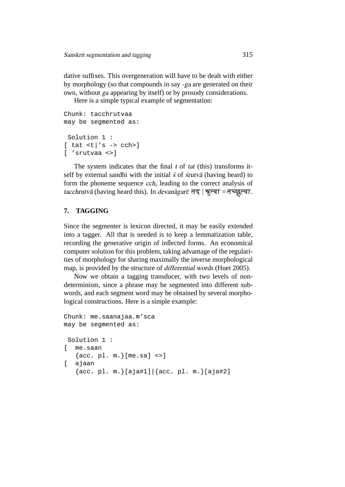dative suffixes. This overgeneration will have to be dealt with either by morphology (so that compounds in say -ga are generated on their own, without ga appearing by itself) or by prosody considerations.

Here is a simple typical example of segmentation:

```
Chunk: tacchrutvaa
may be segmented as:
 Solution 1 :
[tat < t]'s \rightarrow cch[ 'srutvaa <>]
```
The system indicates that the final  $t$  of  $tat$  (this) transforms itself by external sandhi with the initial  $\zeta$  of *strutva* (having heard) to form the phoneme sequence cch, leading to the correct analysis of tacchrutvā (having heard this). In *devanāgarī*: तद् | श्रुत्वा = तच्छ्रुत्वा.

# **7. TAGGING**

Since the segmenter is lexicon directed, it may be easily extended into a tagger. All that is needed is to keep a lemmatization table, recording the generative origin of inflected forms. An economical computer solution for this problem, taking advantage of the regularities of morphology for sharing maximally the inverse morphological map, is provided by the structure of differential words (Huet 2005).

Now we obtain a tagging transducer, with two levels of nondeterminism, since a phrase may be segmented into different subwords, and each segment word may be obtained by several morphological constructions. Here is a simple example:

```
Chunk: me.saanajaa.m'sca
may be segmented as:
 Solution 1 :
[ me.saan
   \{acc. pl. m. \} [me.sa] <>]
[ ajaan
   \{acc. pl. m. \} [ajat 1] | \{acc. pl. m. \} [ajat 2]
```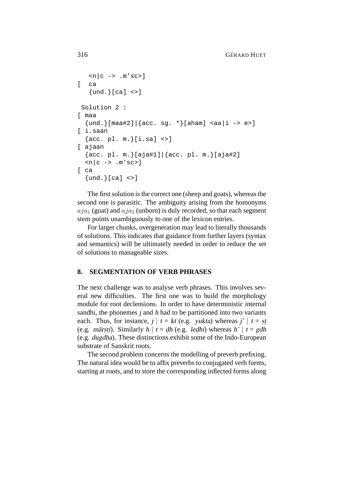```
\langle n|c \rangle -> .m'sc>]
[ ca
   {und.}[ca] <>]
 Solution 2 :
[ maa
  \{und.\}[maa#2]|\{acc. sg. *}[aham] <aa|i -> e>]
[ i.saan
  \{acc. pl. m. \}[i.sa] <>]
[ ajaan
  {acc. pl. m.}[aja#1]|{acc. pl. m.}[aja#2]
  \langle n|c \rightarrow .m'sc>]
\int ca
  \{und.\}[ca] <>]
```
The first solution is the correct one (sheep and goats), whereas the second one is parasitic. The ambiguity arising from the homonyms  $aja_1$  (goat) and  $aja_2$  (unborn) is duly recorded, so that each segment stem points unambiguously to one of the lexicon entries.

For larger chunks, overgeneration may lead to literally thousands of solutions. This indicates that guidance from further layers (syntax and semantics) will be ultimately needed in order to reduce the set of solutions to manageable sizes.

## **8. SEGMENTATION OF VERB PHRASES**

The next challenge was to analyse verb phrases. This involves several new difficulties. The first one was to build the morphology module for root declensions. In order to have deterministic internal sandhi, the phonemes  $j$  and  $h$  had to be partitioned into two variants each. Thus, for instance,  $j \mid t = kt$  (e.g. *yukta*) whereas  $j' \mid t = st$ . (e.g. *mārsti*). Similarly  $h | t = dh$  (e.g. *ledhi*) whereas  $h' | t = gdh$ (e.g. dugdha). These distinctions exhibit some of the Indo-European substrate of Sanskrit roots.

The second problem concerns the modelling of preverb prefixing. The natural idea would be to affix preverbs to conjugated verb forms, starting at roots, and to store the corresponding inflected forms along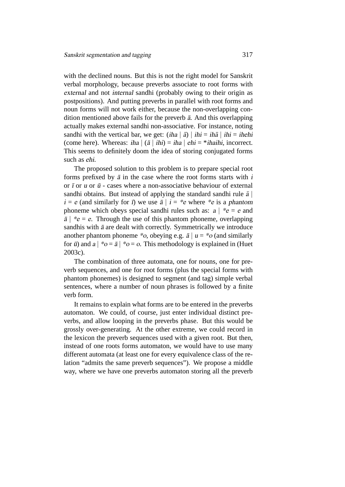with the declined nouns. But this is not the right model for Sanskrit verbal morphology, because preverbs associate to root forms with external and not internal sandhi (probably owing to their origin as postpositions). And putting preverbs in parallel with root forms and noun forms will not work either, because the non-overlapping condition mentioned above fails for the preverb  $\bar{a}$ . And this overlapping actually makes external sandhi non-associative. For instance, noting sandhi with the vertical bar, we get:  $(iha | \bar{a}) | ihi = ih\bar{a} | ihi = ih\bar{e}$ (come here). Whereas: iha  $|$  ( $\bar{a}$  | ihi) = iha  $|$  ehi = \*ihaihi, incorrect. This seems to definitely doom the idea of storing conjugated forms such as ehi.

The proposed solution to this problem is to prepare special root forms prefixed by  $\bar{a}$  in the case where the root forms starts with i or  $\bar{i}$  or  $\bar{u}$  or  $\bar{u}$  - cases where a non-associative behaviour of external sandhi obtains. But instead of applying the standard sandhi rule  $\bar{a}$  $i = e$  (and similarly for  $\overline{i}$ ) we use  $\overline{a} \mid i = *e$  where \*e is a phantom phoneme which obeys special sandhi rules such as:  $a \mid *e = e$  and  $\bar{a}$  | \*e = e. Through the use of this phantom phoneme, overlapping sandhis with  $\bar{a}$  are dealt with correctly. Symmetrically we introduce another phantom phoneme \*o, obeying e.g.  $\bar{a} \mid u = *o$  (and similarly for  $\bar{u}$ ) and  $a \mid *o = \bar{a} \mid *o = o$ . This methodology is explained in (Huet 2003c).

The combination of three automata, one for nouns, one for preverb sequences, and one for root forms (plus the special forms with phantom phonemes) is designed to segment (and tag) simple verbal sentences, where a number of noun phrases is followed by a finite verb form.

It remains to explain what forms are to be entered in the preverbs automaton. We could, of course, just enter individual distinct preverbs, and allow looping in the preverbs phase. But this would be grossly over-generating. At the other extreme, we could record in the lexicon the preverb sequences used with a given root. But then, instead of one roots forms automaton, we would have to use many different automata (at least one for every equivalence class of the relation "admits the same preverb sequences"). We propose a middle way, where we have one preverbs automaton storing all the preverb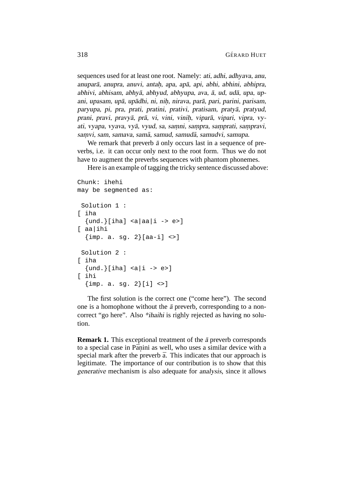sequences used for at least one root. Namely: ati, adhi, adhyava, anu, anuparā, anupra, anuvi, antaḥ, apa, apā, api, abhi, abhini, abhipra, abhivi, abhisam, abhyā, abhyud, abhyupa, ava, ā, ud, udā, upa, upani, upasam, upā, upādhi, ni, niḥ, nirava, parā, pari, parini, parisam, paryupa, pi, pra, prati, pratini, prativi, pratisam, pratya, pratyud, ¯ prani, pravi, pravyā, prā, vi, vini, viniḥ, viparā, vipari, vipra, vyati, vyapa, vyava, vyā, vyud, sa, samni, sampra, samprati, sampravi, samvi, sam, samava, samā, samud, samudā, samudvi, samupa.

We remark that preverb  $\bar{a}$  only occurs last in a sequence of preverbs, i.e. it can occur only next to the root form. Thus we do not have to augment the preverbs sequences with phantom phonemes.

Here is an example of tagging the tricky sentence discussed above:

```
Chunk: ihehi
may be segmented as:
 Solution 1 :
[ iha
  {und.}\[iha] < a|aa|i \rightarrow e&gt;][ aa|ihi
  \{imp. a. sg. 2\}[aa-i] <Solution 2 :
[ iha
  \{und.\}[iha] <a|i -> e>]
[ ihi
  {\{imp. a. sq. 2\}[i] \leq z\}}
```
The first solution is the correct one ("come here"). The second one is a homophone without the  $\bar{a}$  preverb, corresponding to a noncorrect "go here". Also \*ihaihi is righly rejected as having no solution.

**Remark 1.** This exceptional treatment of the  $\bar{a}$  preverb corresponds to a special case in Pāṇini as well, who uses a similar device with a special mark after the preverb  $\bar{a}$ . This indicates that our approach is legitimate. The importance of our contribution is to show that this generative mechanism is also adequate for analysis, since it allows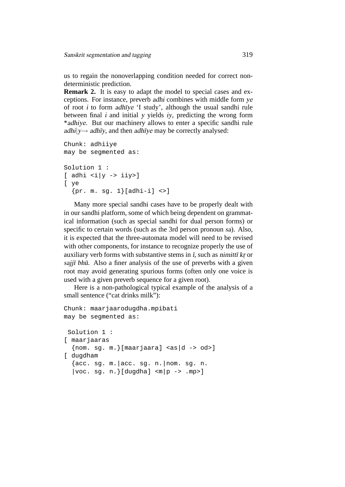us to regain the nonoverlapping condition needed for correct nondeterministic prediction.

**Remark 2.** It is easy to adapt the model to special cases and exceptions. For instance, preverb adhi combines with middle form ye of root  $i$  to form adhīye 'I study', although the usual sandhi rule between final i and initial y yields iy, predicting the wrong form \*adhiye. But our machinery allows to enter a specific sandhi rule adhi $|y\rightarrow adh\bar{y}y$ , and then adh $\bar{y}y$  may be correctly analysed:

```
Chunk: adhiiye
may be segmented as:
Solution 1 :
[ adhi <i|y -> iiy>]
[ ye
  {pr. m. sq. 1}{[adhi-i] < >]}
```
Many more special sandhi cases have to be properly dealt with in our sandhi platform, some of which being dependent on grammatical information (such as special sandhi for dual person forms) or specific to certain words (such as the 3rd person pronoun sa). Also, it is expected that the three-automata model will need to be revised with other components, for instance to recognize properly the use of auxiliary verb forms with substantive stems in  $\bar{I}$ , such as nimitt $\bar{I}$  kr or  $sajj\bar{i}$  bh $\bar{u}$ . Also a finer analysis of the use of preverbs with a given root may avoid generating spurious forms (often only one voice is used with a given preverb sequence for a given root).

Here is a non-pathological typical example of the analysis of a small sentence ("cat drinks milk"):

```
Chunk: maarjaarodugdha.mpibati
may be segmented as:
 Solution 1 :
[ maarjaaras
  {non. sg. m.}[maarjaara] <as|d -> od>]
[ dugdham
  \{acc. sg. m. | acc. sg. n. | nom. sg. n.|voc. sg. n. \} [dugdha] < m|p \rightarrow .mp>
```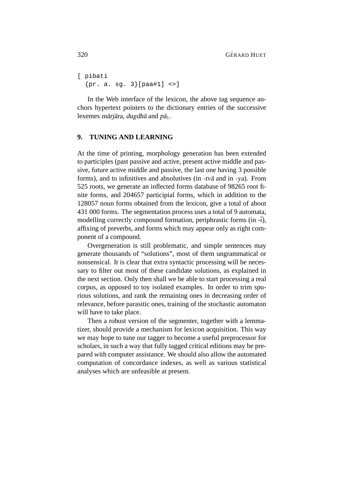```
[ pibati
  {pr. a. sq. 3}[paa#1] <>]
```
In the Web interface of the lexicon, the above tag sequence anchors hypertext pointers to the dictionary entries of the successive lexemes mārjāra, dugdhā and  $p\bar{a}_1$ .

# **9. TUNING AND LEARNING**

At the time of printing, morphology generation has been extended to participles (past passive and active, present active middle and passive, future active middle and passive, the last one having 3 possible forms), and to infinitives and absolutives (in  $-tv\bar{a}$  and in  $-va$ ). From 525 roots, we generate an inflected forms database of 98265 root finite forms, and 204657 participial forms, which in addition to the 128057 noun forms obtained from the lexicon, give a total of about 431 000 forms. The segmentation process uses a total of 9 automata, modelling correctly compound formation, periphrastic forms (in - $\overline{i}$ ), affixing of preverbs, and forms which may appear only as right component of a compound.

Overgeneration is still problematic, and simple sentences may generate thousands of "solutions", most of them ungrammatical or nonsensical. It is clear that extra syntactic processing will be necessary to filter out most of these candidate solutions, as explained in the next section. Only then shall we be able to start processing a real corpus, as opposed to toy isolated examples. In order to trim spurious solutions, and rank the remaining ones in decreasing order of relevance, before parasitic ones, training of the stochastic automaton will have to take place.

Then a robust version of the segmenter, together with a lemmatizer, should provide a mechanism for lexicon acquisition. This way we may hope to tune our tagger to become a useful preprocessor for scholars, in such a way that fully tagged critical editions may be prepared with computer assistance. We should also allow the automated computation of concordance indexes, as well as various statistical analyses which are unfeasible at present.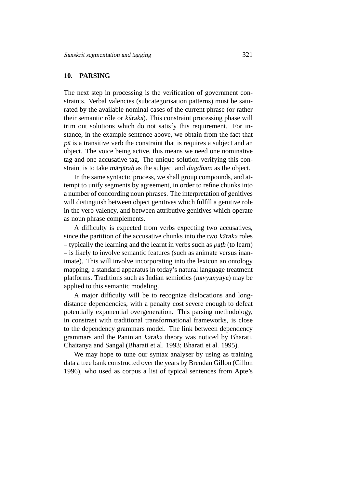## **10. PARSING**

The next step in processing is the verification of government constraints. Verbal valencies (subcategorisation patterns) must be saturated by the available nominal cases of the current phrase (or rather their semantic rôle or *kāraka*). This constraint processing phase will trim out solutions which do not satisfy this requirement. For instance, in the example sentence above, we obtain from the fact that  $p\bar{a}$  is a transitive verb the constraint that is requires a subject and an object. The voice being active, this means we need one nominative tag and one accusative tag. The unique solution verifying this constraint is to take mārjārah as the subject and dugdham as the object.

In the same syntactic process, we shall group compounds, and attempt to unify segments by agreement, in order to refine chunks into a number of concording noun phrases. The interpretation of genitives will distinguish between object genitives which fulfill a genitive role in the verb valency, and between attributive genitives which operate as noun phrase complements.

A difficulty is expected from verbs expecting two accusatives, since the partition of the accusative chunks into the two karaka roles - typically the learning and the learnt in verbs such as *path* (to learn) – is likely to involve semantic features (such as animate versus inanimate). This will involve incorporating into the lexicon an ontology mapping, a standard apparatus in today's natural language treatment platforms. Traditions such as Indian semiotics ( $n$ avyany $\bar{a}$ ya) may be applied to this semantic modeling.

A major difficulty will be to recognize dislocations and longdistance dependencies, with a penalty cost severe enough to defeat potentially exponential overgeneration. This parsing methodology, in constrast with traditional transformational frameworks, is close to the dependency grammars model. The link between dependency grammars and the Paninian kāraka theory was noticed by Bharati, Chaitanya and Sangal (Bharati et al. 1993; Bharati et al. 1995).

We may hope to tune our syntax analyser by using as training data a tree bank constructed over the years by Brendan Gillon (Gillon 1996), who used as corpus a list of typical sentences from Apte's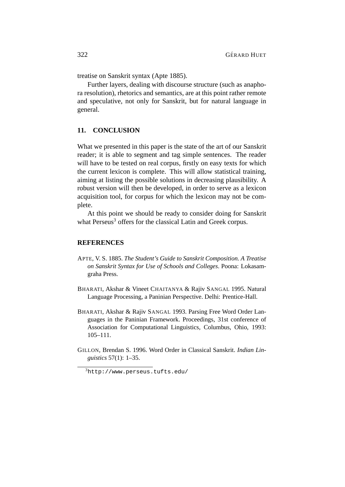treatise on Sanskrit syntax (Apte 1885).

Further layers, dealing with discourse structure (such as anaphora resolution), rhetorics and semantics, are at this point rather remote and speculative, not only for Sanskrit, but for natural language in general.

# **11. CONCLUSION**

What we presented in this paper is the state of the art of our Sanskrit reader; it is able to segment and tag simple sentences. The reader will have to be tested on real corpus, firstly on easy texts for which the current lexicon is complete. This will allow statistical training, aiming at listing the possible solutions in decreasing plausibility. A robust version will then be developed, in order to serve as a lexicon acquisition tool, for corpus for which the lexicon may not be complete.

At this point we should be ready to consider doing for Sanskrit what Perseus<sup>3</sup> offers for the classical Latin and Greek corpus.

#### **REFERENCES**

- APTE, V. S. 1885. *The Student's Guide to Sanskrit Composition. A Treatise on Sanskrit Syntax for Use of Schools and Colleges*. Poona: Lokasamgraha Press.
- BHARATI, Akshar & Vineet CHAITANYA & Rajiv SANGAL 1995. Natural Language Processing, a Paninian Perspective. Delhi: Prentice-Hall.
- BHARATI, Akshar & Rajiv SANGAL 1993. Parsing Free Word Order Languages in the Paninian Framework. Proceedings, 31st conference of Association for Computational Linguistics, Columbus, Ohio, 1993: 105–111.
- GILLON, Brendan S. 1996. Word Order in Classical Sanskrit. *Indian Linguistics* 57(1): 1–35.

<sup>3</sup>http://www.perseus.tufts.edu/